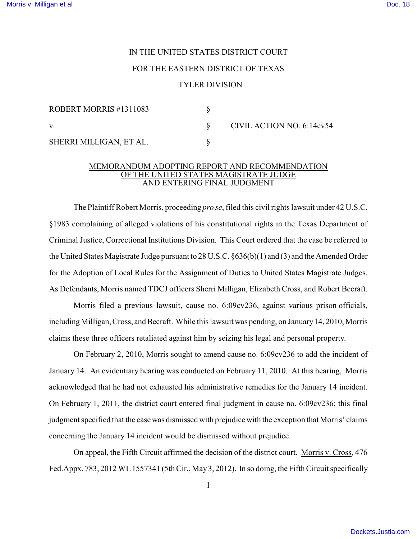# IN THE UNITED STATES DISTRICT COURT FOR THE EASTERN DISTRICT OF TEXAS

## TYLER DIVISION

| ROBERT MORRIS #1311083  |                           |
|-------------------------|---------------------------|
|                         | CIVIL ACTION NO. 6:14cv54 |
| SHERRI MILLIGAN, ET AL. |                           |

## MEMORANDUM ADOPTING REPORT AND RECOMMENDATION OF THE UNITED STATES MAGISTRATE JUDGE AND ENTERING FINAL JUDGMENT

The Plaintiff Robert Morris, proceeding *pro se*, filed this civil rights lawsuit under 42 U.S.C. §1983 complaining of alleged violations of his constitutional rights in the Texas Department of Criminal Justice, Correctional Institutions Division. This Court ordered that the case be referred to the United States Magistrate Judge pursuant to 28 U.S.C. §636(b)(1) and (3) and the Amended Order for the Adoption of Local Rules for the Assignment of Duties to United States Magistrate Judges. As Defendants, Morris named TDCJ officers Sherri Milligan, Elizabeth Cross, and Robert Becraft.

 Morris filed a previous lawsuit, cause no. 6:09cv236, against various prison officials, including Milligan, Cross, and Becraft. While this lawsuit was pending, on January 14, 2010, Morris claims these three officers retaliated against him by seizing his legal and personal property.

On February 2, 2010, Morris sought to amend cause no. 6:09cv236 to add the incident of January 14. An evidentiary hearing was conducted on February 11, 2010. At this hearing, Morris acknowledged that he had not exhausted his administrative remedies for the January 14 incident. On February 1, 2011, the district court entered final judgment in cause no. 6:09cv236; this final judgment specified that the case was dismissed with prejudice with the exception that Morris' claims concerning the January 14 incident would be dismissed without prejudice.

On appeal, the Fifth Circuit affirmed the decision of the district court. Morris v. Cross, 476 Fed.Appx. 783, 2012 WL 1557341 (5th Cir., May 3, 2012). In so doing, the Fifth Circuit specifically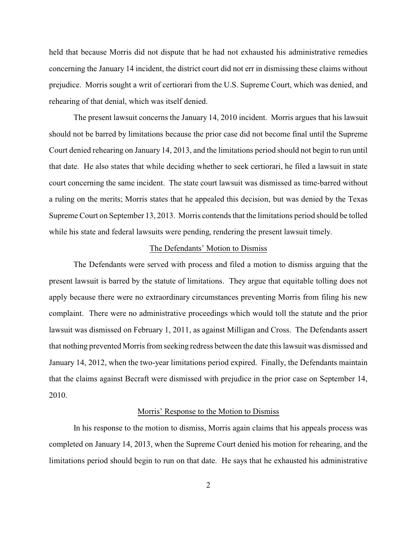held that because Morris did not dispute that he had not exhausted his administrative remedies concerning the January 14 incident, the district court did not err in dismissing these claims without prejudice. Morris sought a writ of certiorari from the U.S. Supreme Court, which was denied, and rehearing of that denial, which was itself denied.

The present lawsuit concerns the January 14, 2010 incident. Morris argues that his lawsuit should not be barred by limitations because the prior case did not become final until the Supreme Court denied rehearing on January 14, 2013, and the limitations period should not begin to run until that date. He also states that while deciding whether to seek certiorari, he filed a lawsuit in state court concerning the same incident. The state court lawsuit was dismissed as time-barred without a ruling on the merits; Morris states that he appealed this decision, but was denied by the Texas Supreme Court on September 13, 2013. Morris contends that the limitations period should be tolled while his state and federal lawsuits were pending, rendering the present lawsuit timely.

### The Defendants' Motion to Dismiss

The Defendants were served with process and filed a motion to dismiss arguing that the present lawsuit is barred by the statute of limitations. They argue that equitable tolling does not apply because there were no extraordinary circumstances preventing Morris from filing his new complaint. There were no administrative proceedings which would toll the statute and the prior lawsuit was dismissed on February 1, 2011, as against Milligan and Cross. The Defendants assert that nothing prevented Morris from seeking redress between the date this lawsuit was dismissed and January 14, 2012, when the two-year limitations period expired. Finally, the Defendants maintain that the claims against Becraft were dismissed with prejudice in the prior case on September 14, 2010.

## Morris' Response to the Motion to Dismiss

In his response to the motion to dismiss, Morris again claims that his appeals process was completed on January 14, 2013, when the Supreme Court denied his motion for rehearing, and the limitations period should begin to run on that date. He says that he exhausted his administrative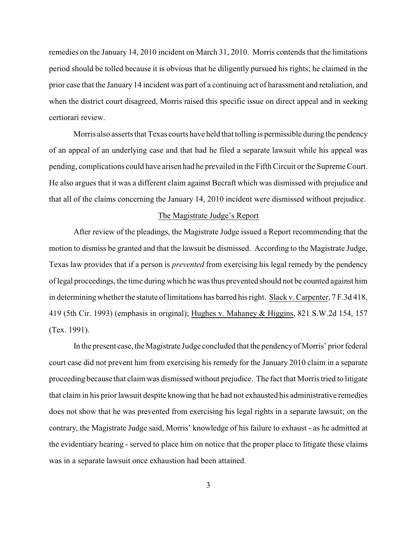remedies on the January 14, 2010 incident on March 31, 2010. Morris contends that the limitations period should be tolled because it is obvious that he diligently pursued his rights; he claimed in the prior case that the January 14 incident was part of a continuing act of harassment and retaliation, and when the district court disagreed, Morris raised this specific issue on direct appeal and in seeking certiorari review.

Morris also asserts that Texas courts have held that tolling is permissible during the pendency of an appeal of an underlying case and that had he filed a separate lawsuit while his appeal was pending, complications could have arisen had he prevailed in the Fifth Circuit or the Supreme Court. He also argues that it was a different claim against Becraft which was dismissed with prejudice and that all of the claims concerning the January 14, 2010 incident were dismissed without prejudice.

#### The Magistrate Judge's Report

After review of the pleadings, the Magistrate Judge issued a Report recommending that the motion to dismiss be granted and that the lawsuit be dismissed. According to the Magistrate Judge, Texas law provides that if a person is *prevented* from exercising his legal remedy by the pendency of legal proceedings, the time during which he was thus prevented should not be counted against him in determining whether the statute of limitations has barred his right. Slack v. Carpenter, 7 F.3d 418, 419 (5th Cir. 1993) (emphasis in original); Hughes v. Mahaney & Higgins, 821 S.W.2d 154, 157 (Tex. 1991).

In the present case, the Magistrate Judge concluded that the pendency of Morris' prior federal court case did not prevent him from exercising his remedy for the January 2010 claim in a separate proceeding because that claim was dismissed without prejudice. The fact that Morris tried to litigate that claim in his prior lawsuit despite knowing that he had not exhausted his administrative remedies does not show that he was prevented from exercising his legal rights in a separate lawsuit; on the contrary, the Magistrate Judge said, Morris' knowledge of his failure to exhaust - as he admitted at the evidentiary hearing - served to place him on notice that the proper place to litigate these claims was in a separate lawsuit once exhaustion had been attained.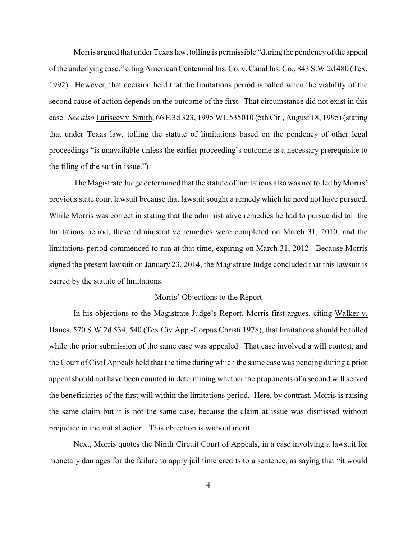Morris argued that under Texas law, tolling is permissible "during the pendency of the appeal of the underlying case," citing American Centennial Ins. Co. v. Canal Ins. Co., 843 S.W.2d 480 (Tex. 1992). However, that decision held that the limitations period is tolled when the viability of the second cause of action depends on the outcome of the first. That circumstance did not exist in this case. *See also* Lariscey v. Smith, 66 F.3d 323, 1995 WL 535010 (5th Cir., August 18, 1995) (stating that under Texas law, tolling the statute of limitations based on the pendency of other legal proceedings "is unavailable unless the earlier proceeding's outcome is a necessary prerequisite to the filing of the suit in issue.")

The Magistrate Judge determined that the statute of limitations also was not tolled by Morris' previous state court lawsuit because that lawsuit sought a remedy which he need not have pursued. While Morris was correct in stating that the administrative remedies he had to pursue did toll the limitations period, these administrative remedies were completed on March 31, 2010, and the limitations period commenced to run at that time, expiring on March 31, 2012. Because Morris signed the present lawsuit on January 23, 2014, the Magistrate Judge concluded that this lawsuit is barred by the statute of limitations.

#### Morris' Objections to the Report

In his objections to the Magistrate Judge's Report, Morris first argues, citing Walker v. Hanes, 570 S.W.2d 534, 540 (Tex.Civ.App.-Corpus Christi 1978), that limitations should be tolled while the prior submission of the same case was appealed. That case involved a will contest, and the Court of Civil Appeals held that the time during which the same case was pending during a prior appeal should not have been counted in determining whether the proponents of a second will served the beneficiaries of the first will within the limitations period. Here, by contrast, Morris is raising the same claim but it is not the same case, because the claim at issue was dismissed without prejudice in the initial action. This objection is without merit.

Next, Morris quotes the Ninth Circuit Court of Appeals, in a case involving a lawsuit for monetary damages for the failure to apply jail time credits to a sentence, as saying that "it would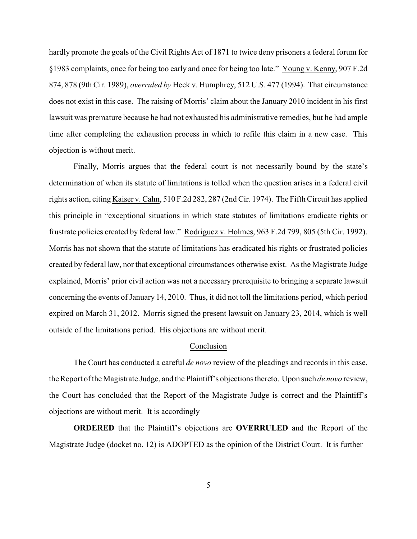hardly promote the goals of the Civil Rights Act of 1871 to twice deny prisoners a federal forum for §1983 complaints, once for being too early and once for being too late." Young v. Kenny, 907 F.2d 874, 878 (9th Cir. 1989), *overruled by* Heck v. Humphrey, 512 U.S. 477 (1994). That circumstance does not exist in this case. The raising of Morris' claim about the January 2010 incident in his first lawsuit was premature because he had not exhausted his administrative remedies, but he had ample time after completing the exhaustion process in which to refile this claim in a new case. This objection is without merit.

Finally, Morris argues that the federal court is not necessarily bound by the state's determination of when its statute of limitations is tolled when the question arises in a federal civil rights action, citing Kaiser v. Cahn, 510 F.2d 282, 287 (2nd Cir. 1974). The Fifth Circuit has applied this principle in "exceptional situations in which state statutes of limitations eradicate rights or frustrate policies created by federal law." Rodriguez v. Holmes, 963 F.2d 799, 805 (5th Cir. 1992). Morris has not shown that the statute of limitations has eradicated his rights or frustrated policies created by federal law, nor that exceptional circumstances otherwise exist. As the Magistrate Judge explained, Morris' prior civil action was not a necessary prerequisite to bringing a separate lawsuit concerning the events of January 14, 2010. Thus, it did not toll the limitations period, which period expired on March 31, 2012. Morris signed the present lawsuit on January 23, 2014, which is well outside of the limitations period. His objections are without merit.

#### Conclusion

The Court has conducted a careful *de novo* review of the pleadings and records in this case, the Report of the Magistrate Judge, and the Plaintiff's objections thereto. Upon such *de novo* review, the Court has concluded that the Report of the Magistrate Judge is correct and the Plaintiff's objections are without merit. It is accordingly

**ORDERED** that the Plaintiff's objections are **OVERRULED** and the Report of the Magistrate Judge (docket no. 12) is ADOPTED as the opinion of the District Court. It is further